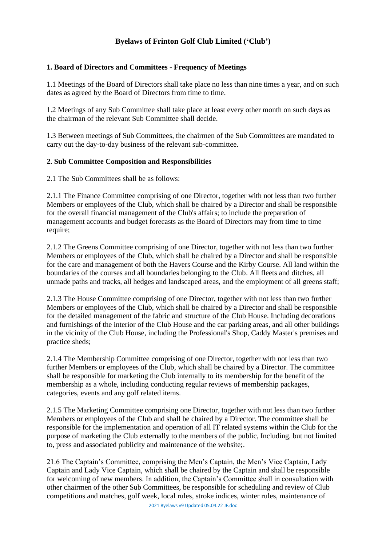# **Byelaws of Frinton Golf Club Limited ('Club')**

### **1. Board of Directors and Committees - Frequency of Meetings**

1.1 Meetings of the Board of Directors shall take place no less than nine times a year, and on such dates as agreed by the Board of Directors from time to time.

1.2 Meetings of any Sub Committee shall take place at least every other month on such days as the chairman of the relevant Sub Committee shall decide.

1.3 Between meetings of Sub Committees, the chairmen of the Sub Committees are mandated to carry out the day-to-day business of the relevant sub-committee.

### **2. Sub Committee Composition and Responsibilities**

2.1 The Sub Committees shall be as follows:

2.1.1 The Finance Committee comprising of one Director, together with not less than two further Members or employees of the Club, which shall be chaired by a Director and shall be responsible for the overall financial management of the Club's affairs; to include the preparation of management accounts and budget forecasts as the Board of Directors may from time to time require;

2.1.2 The Greens Committee comprising of one Director, together with not less than two further Members or employees of the Club, which shall be chaired by a Director and shall be responsible for the care and management of both the Havers Course and the Kirby Course. All land within the boundaries of the courses and all boundaries belonging to the Club. All fleets and ditches, all unmade paths and tracks, all hedges and landscaped areas, and the employment of all greens staff;

2.1.3 The House Committee comprising of one Director, together with not less than two further Members or employees of the Club, which shall be chaired by a Director and shall be responsible for the detailed management of the fabric and structure of the Club House. Including decorations and furnishings of the interior of the Club House and the car parking areas, and all other buildings in the vicinity of the Club House, including the Professional's Shop, Caddy Master's premises and practice sheds;

2.1.4 The Membership Committee comprising of one Director, together with not less than two further Members or employees of the Club, which shall be chaired by a Director. The committee shall be responsible for marketing the Club internally to its membership for the benefit of the membership as a whole, including conducting regular reviews of membership packages, categories, events and any golf related items.

2.1.5 The Marketing Committee comprising one Director, together with not less than two further Members or employees of the Club and shall be chaired by a Director. The committee shall be responsible for the implementation and operation of all IT related systems within the Club for the purpose of marketing the Club externally to the members of the public, Including, but not limited to, press and associated publicity and maintenance of the website;.

21.6 The Captain's Committee, comprising the Men's Captain, the Men's Vice Captain, Lady Captain and Lady Vice Captain, which shall be chaired by the Captain and shall be responsible for welcoming of new members. In addition, the Captain's Committee shall in consultation with other chairmen of the other Sub Committees, be responsible for scheduling and review of Club competitions and matches, golf week, local rules, stroke indices, winter rules, maintenance of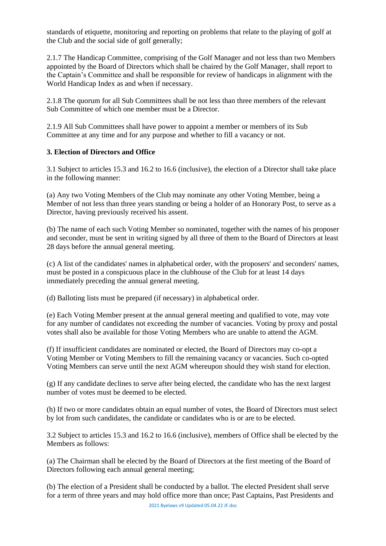standards of etiquette, monitoring and reporting on problems that relate to the playing of golf at the Club and the social side of golf generally;

2.1.7 The Handicap Committee, comprising of the Golf Manager and not less than two Members appointed by the Board of Directors which shall be chaired by the Golf Manager, shall report to the Captain's Committee and shall be responsible for review of handicaps in alignment with the World Handicap Index as and when if necessary.

2.1.8 The quorum for all Sub Committees shall be not less than three members of the relevant Sub Committee of which one member must be a Director.

2.1.9 All Sub Committees shall have power to appoint a member or members of its Sub Committee at any time and for any purpose and whether to fill a vacancy or not.

### **3. Election of Directors and Office**

3.1 Subject to articles 15.3 and 16.2 to 16.6 (inclusive), the election of a Director shall take place in the following manner:

(a) Any two Voting Members of the Club may nominate any other Voting Member, being a Member of not less than three years standing or being a holder of an Honorary Post, to serve as a Director, having previously received his assent.

(b) The name of each such Voting Member so nominated, together with the names of his proposer and seconder, must be sent in writing signed by all three of them to the Board of Directors at least 28 days before the annual general meeting.

(c) A list of the candidates' names in alphabetical order, with the proposers' and seconders' names, must be posted in a conspicuous place in the clubhouse of the Club for at least 14 days immediately preceding the annual general meeting.

(d) Balloting lists must be prepared (if necessary) in alphabetical order.

(e) Each Voting Member present at the annual general meeting and qualified to vote, may vote for any number of candidates not exceeding the number of vacancies. Voting by proxy and postal votes shall also be available for those Voting Members who are unable to attend the AGM.

(f) If insufficient candidates are nominated or elected, the Board of Directors may co-opt a Voting Member or Voting Members to fill the remaining vacancy or vacancies. Such co-opted Voting Members can serve until the next AGM whereupon should they wish stand for election.

(g) If any candidate declines to serve after being elected, the candidate who has the next largest number of votes must be deemed to be elected.

(h) If two or more candidates obtain an equal number of votes, the Board of Directors must select by lot from such candidates, the candidate or candidates who is or are to be elected.

3.2 Subject to articles 15.3 and 16.2 to 16.6 (inclusive), members of Office shall be elected by the Members as follows:

(a) The Chairman shall be elected by the Board of Directors at the first meeting of the Board of Directors following each annual general meeting;

(b) The election of a President shall be conducted by a ballot. The elected President shall serve for a term of three years and may hold office more than once; Past Captains, Past Presidents and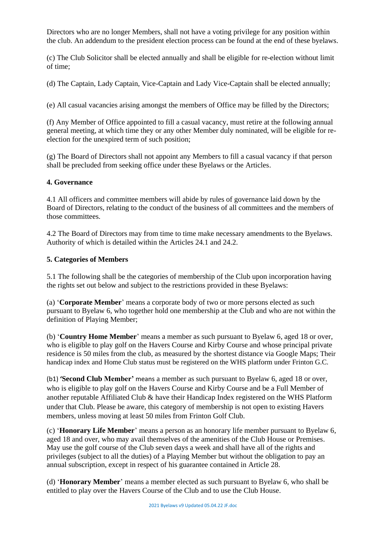Directors who are no longer Members, shall not have a voting privilege for any position within the club. An addendum to the president election process can be found at the end of these byelaws.

(c) The Club Solicitor shall be elected annually and shall be eligible for re-election without limit of time;

(d) The Captain, Lady Captain, Vice-Captain and Lady Vice-Captain shall be elected annually;

(e) All casual vacancies arising amongst the members of Office may be filled by the Directors;

(f) Any Member of Office appointed to fill a casual vacancy, must retire at the following annual general meeting, at which time they or any other Member duly nominated, will be eligible for reelection for the unexpired term of such position;

(g) The Board of Directors shall not appoint any Members to fill a casual vacancy if that person shall be precluded from seeking office under these Byelaws or the Articles.

### **4. Governance**

4.1 All officers and committee members will abide by rules of governance laid down by the Board of Directors, relating to the conduct of the business of all committees and the members of those committees.

4.2 The Board of Directors may from time to time make necessary amendments to the Byelaws. Authority of which is detailed within the Articles 24.1 and 24.2.

### **5. Categories of Members**

5.1 The following shall be the categories of membership of the Club upon incorporation having the rights set out below and subject to the restrictions provided in these Byelaws:

(a) '**Corporate Member**' means a corporate body of two or more persons elected as such pursuant to Byelaw 6, who together hold one membership at the Club and who are not within the definition of Playing Member;

(b) '**Country Home Member**' means a member as such pursuant to Byelaw 6, aged 18 or over, who is eligible to play golf on the Havers Course and Kirby Course and whose principal private residence is 50 miles from the club, as measured by the shortest distance via Google Maps; Their handicap index and Home Club status must be registered on the WHS platform under Frinton G.C.

(b1) **'Second Club Member'** means a member as such pursuant to Byelaw 6, aged 18 or over, who is eligible to play golf on the Havers Course and Kirby Course and be a Full Member of another reputable Affiliated Club & have their Handicap Index registered on the WHS Platform under that Club. Please be aware, this category of membership is not open to existing Havers members, unless moving at least 50 miles from Frinton Golf Club.

(c) '**Honorary Life Member**' means a person as an honorary life member pursuant to Byelaw 6, aged 18 and over, who may avail themselves of the amenities of the Club House or Premises. May use the golf course of the Club seven days a week and shall have all of the rights and privileges (subject to all the duties) of a Playing Member but without the obligation to pay an annual subscription, except in respect of his guarantee contained in Article 28.

(d) '**Honorary Member**' means a member elected as such pursuant to Byelaw 6, who shall be entitled to play over the Havers Course of the Club and to use the Club House.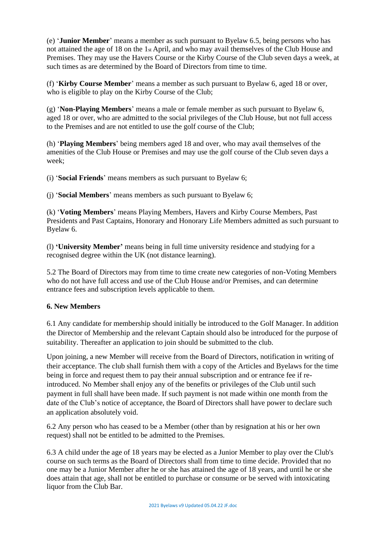(e) '**Junior Member**' means a member as such pursuant to Byelaw 6.5, being persons who has not attained the age of 18 on the 1st April, and who may avail themselves of the Club House and Premises. They may use the Havers Course or the Kirby Course of the Club seven days a week, at such times as are determined by the Board of Directors from time to time.

(f) '**Kirby Course Member**' means a member as such pursuant to Byelaw 6, aged 18 or over, who is eligible to play on the Kirby Course of the Club;

(g) '**Non-Playing Members**' means a male or female member as such pursuant to Byelaw 6, aged 18 or over, who are admitted to the social privileges of the Club House, but not full access to the Premises and are not entitled to use the golf course of the Club;

(h) '**Playing Members**' being members aged 18 and over, who may avail themselves of the amenities of the Club House or Premises and may use the golf course of the Club seven days a week;

(i) '**Social Friends**' means members as such pursuant to Byelaw 6;

(j) '**Social Members**' means members as such pursuant to Byelaw 6;

(k) '**Voting Members**' means Playing Members, Havers and Kirby Course Members, Past Presidents and Past Captains, Honorary and Honorary Life Members admitted as such pursuant to Byelaw 6.

(l) **'University Member'** means being in full time university residence and studying for a recognised degree within the UK (not distance learning).

5.2 The Board of Directors may from time to time create new categories of non-Voting Members who do not have full access and use of the Club House and/or Premises, and can determine entrance fees and subscription levels applicable to them.

### **6. New Members**

6.1 Any candidate for membership should initially be introduced to the Golf Manager. In addition the Director of Membership and the relevant Captain should also be introduced for the purpose of suitability. Thereafter an application to join should be submitted to the club.

Upon joining, a new Member will receive from the Board of Directors, notification in writing of their acceptance. The club shall furnish them with a copy of the Articles and Byelaws for the time being in force and request them to pay their annual subscription and or entrance fee if reintroduced. No Member shall enjoy any of the benefits or privileges of the Club until such payment in full shall have been made. If such payment is not made within one month from the date of the Club's notice of acceptance, the Board of Directors shall have power to declare such an application absolutely void.

6.2 Any person who has ceased to be a Member (other than by resignation at his or her own request) shall not be entitled to be admitted to the Premises.

6.3 A child under the age of 18 years may be elected as a Junior Member to play over the Club's course on such terms as the Board of Directors shall from time to time decide. Provided that no one may be a Junior Member after he or she has attained the age of 18 years, and until he or she does attain that age, shall not be entitled to purchase or consume or be served with intoxicating liquor from the Club Bar.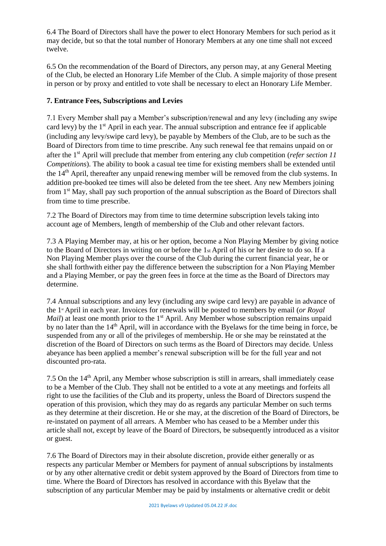6.4 The Board of Directors shall have the power to elect Honorary Members for such period as it may decide, but so that the total number of Honorary Members at any one time shall not exceed twelve.

6.5 On the recommendation of the Board of Directors, any person may, at any General Meeting of the Club, be elected an Honorary Life Member of the Club. A simple majority of those present in person or by proxy and entitled to vote shall be necessary to elect an Honorary Life Member.

### **7. Entrance Fees, Subscriptions and Levies**

7.1 Every Member shall pay a Member's subscription/renewal and any levy (including any swipe card levy) by the 1<sup>st</sup> April in each year. The annual subscription and entrance fee if applicable (including any levy/swipe card levy), be payable by Members of the Club, are to be such as the Board of Directors from time to time prescribe. Any such renewal fee that remains unpaid on or after the 1st April will preclude that member from entering any club competition (*refer section 11 Competitions*). The ability to book a casual tee time for existing members shall be extended until the 14th April, thereafter any unpaid renewing member will be removed from the club systems. In addition pre-booked tee times will also be deleted from the tee sheet. Any new Members joining from 1st May, shall pay such proportion of the annual subscription as the Board of Directors shall from time to time prescribe.

7.2 The Board of Directors may from time to time determine subscription levels taking into account age of Members, length of membership of the Club and other relevant factors.

7.3 A Playing Member may, at his or her option, become a Non Playing Member by giving notice to the Board of Directors in writing on or before the 1st April of his or her desire to do so. If a Non Playing Member plays over the course of the Club during the current financial year, he or she shall forthwith either pay the difference between the subscription for a Non Playing Member and a Playing Member, or pay the green fees in force at the time as the Board of Directors may determine.

7.4 Annual subscriptions and any levy (including any swipe card levy) are payable in advance of the 1<sup>*x*</sup> April in each year. Invoices for renewals will be posted to members by email (*or Royal Mail*) at least one month prior to the 1<sup>st</sup> April. Any Member whose subscription remains unpaid by no later than the 14<sup>th</sup> April, will in accordance with the Byelaws for the time being in force, be suspended from any or all of the privileges of membership. He or she may be reinstated at the discretion of the Board of Directors on such terms as the Board of Directors may decide. Unless abeyance has been applied a member's renewal subscription will be for the full year and not discounted pro-rata.

7.5 On the 14<sup>th</sup> April, any Member whose subscription is still in arrears, shall immediately cease to be a Member of the Club. They shall not be entitled to a vote at any meetings and forfeits all right to use the facilities of the Club and its property, unless the Board of Directors suspend the operation of this provision, which they may do as regards any particular Member on such terms as they determine at their discretion. He or she may, at the discretion of the Board of Directors, be re-instated on payment of all arrears. A Member who has ceased to be a Member under this article shall not, except by leave of the Board of Directors, be subsequently introduced as a visitor or guest.

7.6 The Board of Directors may in their absolute discretion, provide either generally or as respects any particular Member or Members for payment of annual subscriptions by instalments or by any other alternative credit or debit system approved by the Board of Directors from time to time. Where the Board of Directors has resolved in accordance with this Byelaw that the subscription of any particular Member may be paid by instalments or alternative credit or debit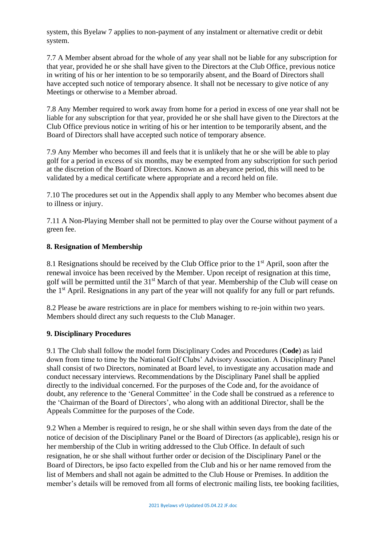system, this Byelaw 7 applies to non-payment of any instalment or alternative credit or debit system.

7.7 A Member absent abroad for the whole of any year shall not be liable for any subscription for that year, provided he or she shall have given to the Directors at the Club Office, previous notice in writing of his or her intention to be so temporarily absent, and the Board of Directors shall have accepted such notice of temporary absence. It shall not be necessary to give notice of any Meetings or otherwise to a Member abroad.

7.8 Any Member required to work away from home for a period in excess of one year shall not be liable for any subscription for that year, provided he or she shall have given to the Directors at the Club Office previous notice in writing of his or her intention to be temporarily absent, and the Board of Directors shall have accepted such notice of temporary absence.

7.9 Any Member who becomes ill and feels that it is unlikely that he or she will be able to play golf for a period in excess of six months, may be exempted from any subscription for such period at the discretion of the Board of Directors. Known as an abeyance period, this will need to be validated by a medical certificate where appropriate and a record held on file.

7.10 The procedures set out in the Appendix shall apply to any Member who becomes absent due to illness or injury.

7.11 A Non-Playing Member shall not be permitted to play over the Course without payment of a green fee.

### **8. Resignation of Membership**

8.1 Resignations should be received by the Club Office prior to the  $1<sup>st</sup>$  April, soon after the renewal invoice has been received by the Member. Upon receipt of resignation at this time, golf will be permitted until the 31st March of that year. Membership of the Club will cease on the 1<sup>st</sup> April. Resignations in any part of the year will not qualify for any full or part refunds.

8.2 Please be aware restrictions are in place for members wishing to re-join within two years. Members should direct any such requests to the Club Manager.

#### **9. Disciplinary Procedures**

9.1 The Club shall follow the model form Disciplinary Codes and Procedures (**Code**) as laid down from time to time by the National Golf Clubs' Advisory Association. A Disciplinary Panel shall consist of two Directors, nominated at Board level, to investigate any accusation made and conduct necessary interviews. Recommendations by the Disciplinary Panel shall be applied directly to the individual concerned. For the purposes of the Code and, for the avoidance of doubt, any reference to the 'General Committee' in the Code shall be construed as a reference to the 'Chairman of the Board of Directors', who along with an additional Director, shall be the Appeals Committee for the purposes of the Code.

9.2 When a Member is required to resign, he or she shall within seven days from the date of the notice of decision of the Disciplinary Panel or the Board of Directors (as applicable), resign his or her membership of the Club in writing addressed to the Club Office. In default of such resignation, he or she shall without further order or decision of the Disciplinary Panel or the Board of Directors, be ipso facto expelled from the Club and his or her name removed from the list of Members and shall not again be admitted to the Club House or Premises. In addition the member's details will be removed from all forms of electronic mailing lists, tee booking facilities,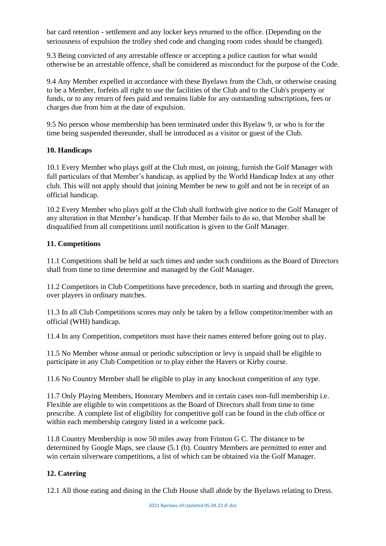bar card retention - settlement and any locker keys returned to the office. (Depending on the seriousness of expulsion the trolley shed code and changing room codes should be changed).

9.3 Being convicted of any arrestable offence or accepting a police caution for what would otherwise be an arrestable offence, shall be considered as misconduct for the purpose of the Code.

9.4 Any Member expelled in accordance with these Byelaws from the Club, or otherwise ceasing to be a Member, forfeits all right to use the facilities of the Club and to the Club's property or funds, or to any return of fees paid and remains liable for any outstanding subscriptions, fees or charges due from him at the date of expulsion.

9.5 No person whose membership has been terminated under this Byelaw 9, or who is for the time being suspended thereunder, shall be introduced as a visitor or guest of the Club.

#### **10. Handicaps**

10.1 Every Member who plays golf at the Club must, on joining, furnish the Golf Manager with full particulars of that Member's handicap, as applied by the World Handicap Index at any other club. This will not apply should that joining Member be new to golf and not be in receipt of an official handicap.

10.2 Every Member who plays golf at the Club shall forthwith give notice to the Golf Manager of any alteration in that Member's handicap. If that Member fails to do so, that Member shall be disqualified from all competitions until notification is given to the Golf Manager.

### **11. Competitions**

11.1 Competitions shall be held at such times and under such conditions as the Board of Directors shall from time to time determine and managed by the Golf Manager.

11.2 Competitors in Club Competitions have precedence, both in starting and through the green, over players in ordinary matches.

11.3 In all Club Competitions scores may only be taken by a fellow competitor/member with an official (WHI) handicap.

11.4 In any Competition, competitors must have their names entered before going out to play.

11.5 No Member whose annual or periodic subscription or levy is unpaid shall be eligible to participate in any Club Competition or to play either the Havers or Kirby course.

11.6 No Country Member shall be eligible to play in any knockout competition of any type.

11.7 Only Playing Members, Honorary Members and in certain cases non-full membership i.e. Flexible are eligible to win competitions as the Board of Directors shall from time to time prescribe. A complete list of eligibility for competitive golf can be found in the club office or within each membership category listed in a welcome pack.

11.8 Country Membership is now 50 miles away from Frinton G C. The distance to be determined by Google Maps, see clause (5.1 (b). Country Members are permitted to enter and win certain silverware competitions, a list of which can be obtained via the Golf Manager.

### **12. Catering**

12.1 All those eating and dining in the Club House shall abide by the Byelaws relating to Dress.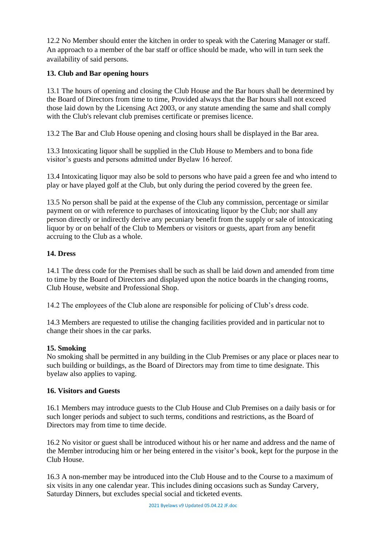12.2 No Member should enter the kitchen in order to speak with the Catering Manager or staff. An approach to a member of the bar staff or office should be made, who will in turn seek the availability of said persons.

### **13. Club and Bar opening hours**

13.1 The hours of opening and closing the Club House and the Bar hours shall be determined by the Board of Directors from time to time, Provided always that the Bar hours shall not exceed those laid down by the Licensing Act 2003, or any statute amending the same and shall comply with the Club's relevant club premises certificate or premises licence.

13.2 The Bar and Club House opening and closing hours shall be displayed in the Bar area.

13.3 Intoxicating liquor shall be supplied in the Club House to Members and to bona fide visitor's guests and persons admitted under Byelaw 16 hereof.

13.4 Intoxicating liquor may also be sold to persons who have paid a green fee and who intend to play or have played golf at the Club, but only during the period covered by the green fee.

13.5 No person shall be paid at the expense of the Club any commission, percentage or similar payment on or with reference to purchases of intoxicating liquor by the Club; nor shall any person directly or indirectly derive any pecuniary benefit from the supply or sale of intoxicating liquor by or on behalf of the Club to Members or visitors or guests, apart from any benefit accruing to the Club as a whole.

### **14. Dress**

14.1 The dress code for the Premises shall be such as shall be laid down and amended from time to time by the Board of Directors and displayed upon the notice boards in the changing rooms, Club House, website and Professional Shop.

14.2 The employees of the Club alone are responsible for policing of Club's dress code.

14.3 Members are requested to utilise the changing facilities provided and in particular not to change their shoes in the car parks.

### **15. Smoking**

No smoking shall be permitted in any building in the Club Premises or any place or places near to such building or buildings, as the Board of Directors may from time to time designate. This byelaw also applies to vaping.

### **16. Visitors and Guests**

16.1 Members may introduce guests to the Club House and Club Premises on a daily basis or for such longer periods and subject to such terms, conditions and restrictions, as the Board of Directors may from time to time decide.

16.2 No visitor or guest shall be introduced without his or her name and address and the name of the Member introducing him or her being entered in the visitor's book, kept for the purpose in the Club House.

16.3 A non-member may be introduced into the Club House and to the Course to a maximum of six visits in any one calendar year. This includes dining occasions such as Sunday Carvery, Saturday Dinners, but excludes special social and ticketed events.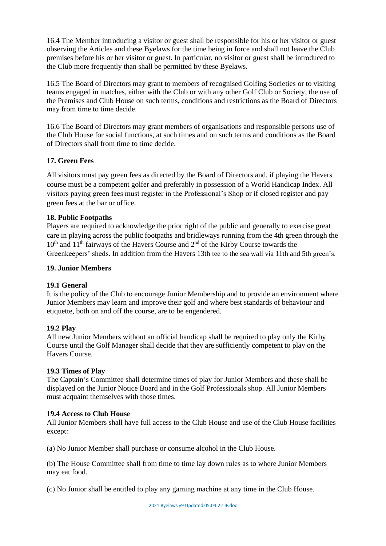16.4 The Member introducing a visitor or guest shall be responsible for his or her visitor or guest observing the Articles and these Byelaws for the time being in force and shall not leave the Club premises before his or her visitor or guest. In particular, no visitor or guest shall be introduced to the Club more frequently than shall be permitted by these Byelaws.

16.5 The Board of Directors may grant to members of recognised Golfing Societies or to visiting teams engaged in matches, either with the Club or with any other Golf Club or Society, the use of the Premises and Club House on such terms, conditions and restrictions as the Board of Directors may from time to time decide.

16.6 The Board of Directors may grant members of organisations and responsible persons use of the Club House for social functions, at such times and on such terms and conditions as the Board of Directors shall from time to time decide.

### **17. Green Fees**

All visitors must pay green fees as directed by the Board of Directors and, if playing the Havers course must be a competent golfer and preferably in possession of a World Handicap Index. All visitors paying green fees must register in the Professional's Shop or if closed register and pay green fees at the bar or office.

### **18. Public Footpaths**

Players are required to acknowledge the prior right of the public and generally to exercise great care in playing across the public footpaths and bridleways running from the 4th green through the  $10<sup>th</sup>$  and  $11<sup>th</sup>$  fairways of the Havers Course and  $2<sup>nd</sup>$  of the Kirby Course towards the Greenkeepers' sheds. In addition from the Havers 13th tee to the sea wall via 11th and 5th green's.

### **19. Junior Members**

### **19.1 General**

It is the policy of the Club to encourage Junior Membership and to provide an environment where Junior Members may learn and improve their golf and where best standards of behaviour and etiquette, both on and off the course, are to be engendered.

### **19.2 Play**

All new Junior Members without an official handicap shall be required to play only the Kirby Course until the Golf Manager shall decide that they are sufficiently competent to play on the Havers Course.

### **19.3 Times of Play**

The Captain's Committee shall determine times of play for Junior Members and these shall be displayed on the Junior Notice Board and in the Golf Professionals shop. All Junior Members must acquaint themselves with those times.

### **19.4 Access to Club House**

All Junior Members shall have full access to the Club House and use of the Club House facilities except:

(a) No Junior Member shall purchase or consume alcohol in the Club House.

(b) The House Committee shall from time to time lay down rules as to where Junior Members may eat food.

(c) No Junior shall be entitled to play any gaming machine at any time in the Club House.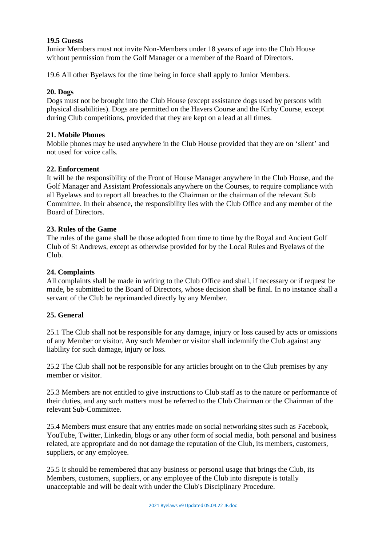#### **19.5 Guests**

Junior Members must not invite Non-Members under 18 years of age into the Club House without permission from the Golf Manager or a member of the Board of Directors.

19.6 All other Byelaws for the time being in force shall apply to Junior Members.

#### **20. Dogs**

Dogs must not be brought into the Club House (except assistance dogs used by persons with physical disabilities). Dogs are permitted on the Havers Course and the Kirby Course, except during Club competitions, provided that they are kept on a lead at all times.

#### **21. Mobile Phones**

Mobile phones may be used anywhere in the Club House provided that they are on 'silent' and not used for voice calls.

#### **22. Enforcement**

It will be the responsibility of the Front of House Manager anywhere in the Club House, and the Golf Manager and Assistant Professionals anywhere on the Courses, to require compliance with all Byelaws and to report all breaches to the Chairman or the chairman of the relevant Sub Committee. In their absence, the responsibility lies with the Club Office and any member of the Board of Directors.

#### **23. Rules of the Game**

The rules of the game shall be those adopted from time to time by the Royal and Ancient Golf Club of St Andrews, except as otherwise provided for by the Local Rules and Byelaws of the Club.

#### **24. Complaints**

All complaints shall be made in writing to the Club Office and shall, if necessary or if request be made, be submitted to the Board of Directors, whose decision shall be final. In no instance shall a servant of the Club be reprimanded directly by any Member.

### **25. General**

25.1 The Club shall not be responsible for any damage, injury or loss caused by acts or omissions of any Member or visitor. Any such Member or visitor shall indemnify the Club against any liability for such damage, injury or loss.

25.2 The Club shall not be responsible for any articles brought on to the Club premises by any member or visitor.

25.3 Members are not entitled to give instructions to Club staff as to the nature or performance of their duties, and any such matters must be referred to the Club Chairman or the Chairman of the relevant Sub-Committee.

25.4 Members must ensure that any entries made on social networking sites such as Facebook, YouTube, Twitter, Linkedin, blogs or any other form of social media, both personal and business related, are appropriate and do not damage the reputation of the Club, its members, customers, suppliers, or any employee.

25.5 It should be remembered that any business or personal usage that brings the Club, its Members, customers, suppliers, or any employee of the Club into disrepute is totally unacceptable and will be dealt with under the Club's Disciplinary Procedure.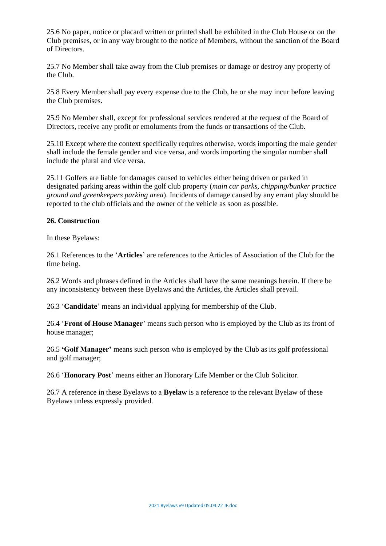25.6 No paper, notice or placard written or printed shall be exhibited in the Club House or on the Club premises, or in any way brought to the notice of Members, without the sanction of the Board of Directors.

25.7 No Member shall take away from the Club premises or damage or destroy any property of the Club.

25.8 Every Member shall pay every expense due to the Club, he or she may incur before leaving the Club premises.

25.9 No Member shall, except for professional services rendered at the request of the Board of Directors, receive any profit or emoluments from the funds or transactions of the Club.

25.10 Except where the context specifically requires otherwise, words importing the male gender shall include the female gender and vice versa, and words importing the singular number shall include the plural and vice versa.

25.11 Golfers are liable for damages caused to vehicles either being driven or parked in designated parking areas within the golf club property (*main car parks, chipping/bunker practice ground and greenkeepers parking area*). Incidents of damage caused by any errant play should be reported to the club officials and the owner of the vehicle as soon as possible.

### **26. Construction**

In these Byelaws:

26.1 References to the '**Articles**' are references to the Articles of Association of the Club for the time being.

26.2 Words and phrases defined in the Articles shall have the same meanings herein. If there be any inconsistency between these Byelaws and the Articles, the Articles shall prevail.

26.3 '**Candidate**' means an individual applying for membership of the Club.

26.4 '**Front of House Manager**' means such person who is employed by the Club as its front of house manager;

26.5 **'Golf Manager'** means such person who is employed by the Club as its golf professional and golf manager;

26.6 '**Honorary Post**' means either an Honorary Life Member or the Club Solicitor.

26.7 A reference in these Byelaws to a **Byelaw** is a reference to the relevant Byelaw of these Byelaws unless expressly provided.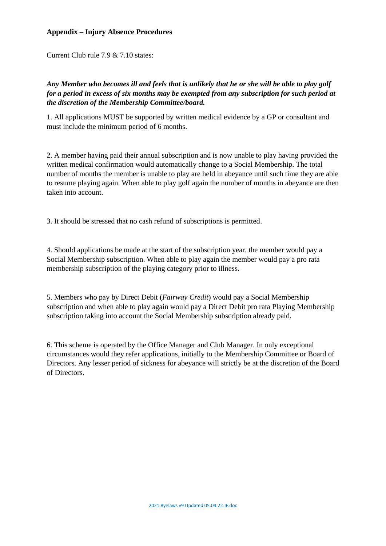### **Appendix – Injury Absence Procedures**

Current Club rule 7.9 & 7.10 states:

# *Any Member who becomes ill and feels that is unlikely that he or she will be able to play golf for a period in excess of six months may be exempted from any subscription for such period at the discretion of the Membership Committee/board.*

1. All applications MUST be supported by written medical evidence by a GP or consultant and must include the minimum period of 6 months.

2. A member having paid their annual subscription and is now unable to play having provided the written medical confirmation would automatically change to a Social Membership. The total number of months the member is unable to play are held in abeyance until such time they are able to resume playing again. When able to play golf again the number of months in abeyance are then taken into account.

3. It should be stressed that no cash refund of subscriptions is permitted.

4. Should applications be made at the start of the subscription year, the member would pay a Social Membership subscription. When able to play again the member would pay a pro rata membership subscription of the playing category prior to illness.

5. Members who pay by Direct Debit (*Fairway Credit*) would pay a Social Membership subscription and when able to play again would pay a Direct Debit pro rata Playing Membership subscription taking into account the Social Membership subscription already paid.

6. This scheme is operated by the Office Manager and Club Manager. In only exceptional circumstances would they refer applications, initially to the Membership Committee or Board of Directors. Any lesser period of sickness for abeyance will strictly be at the discretion of the Board of Directors.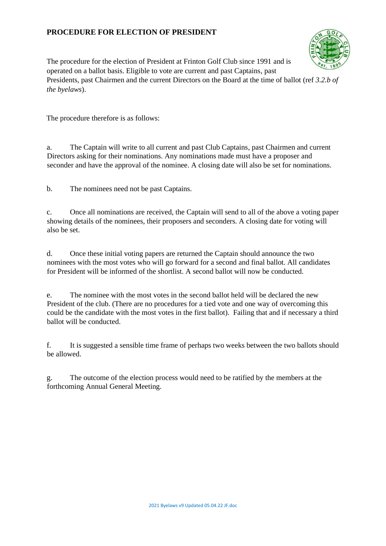# **PROCEDURE FOR ELECTION OF PRESIDENT**



The procedure for the election of President at Frinton Golf Club since 1991 and is operated on a ballot basis. Eligible to vote are current and past Captains, past Presidents, past Chairmen and the current Directors on the Board at the time of ballot (ref *3.2.b of the byelaws*).

The procedure therefore is as follows:

a. The Captain will write to all current and past Club Captains, past Chairmen and current Directors asking for their nominations. Any nominations made must have a proposer and seconder and have the approval of the nominee. A closing date will also be set for nominations.

b. The nominees need not be past Captains.

c. Once all nominations are received, the Captain will send to all of the above a voting paper showing details of the nominees, their proposers and seconders. A closing date for voting will also be set.

d. Once these initial voting papers are returned the Captain should announce the two nominees with the most votes who will go forward for a second and final ballot. All candidates for President will be informed of the shortlist. A second ballot will now be conducted.

e. The nominee with the most votes in the second ballot held will be declared the new President of the club. (There are no procedures for a tied vote and one way of overcoming this could be the candidate with the most votes in the first ballot). Failing that and if necessary a third ballot will be conducted.

f. It is suggested a sensible time frame of perhaps two weeks between the two ballots should be allowed.

g. The outcome of the election process would need to be ratified by the members at the forthcoming Annual General Meeting.